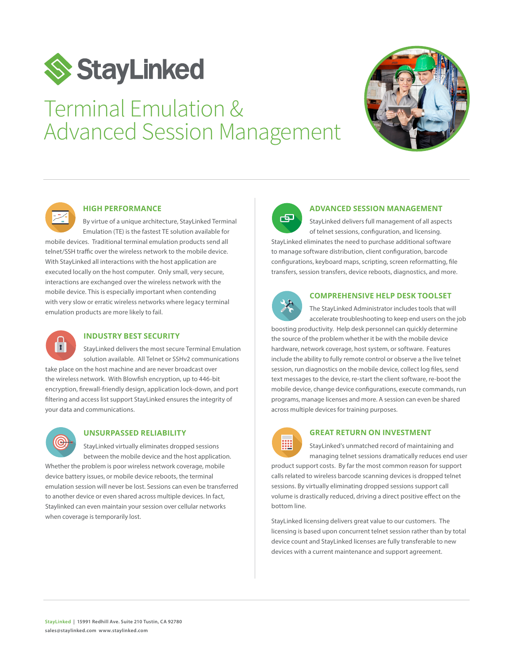

# Terminal Emulation & Advanced Session Management





#### **HIGH PERFORMANCE**

By virtue of a unique architecture, StayLinked Terminal Emulation (TE) is the fastest TE solution available for

mobile devices. Traditional terminal emulation products send all telnet/SSH traffic over the wireless network to the mobile device. With StayLinked all interactions with the host application are executed locally on the host computer. Only small, very secure, interactions are exchanged over the wireless network with the mobile device. This is especially important when contending with very slow or erratic wireless networks where legacy terminal emulation products are more likely to fail.



### **INDUSTRY BEST SECURITY**

StayLinked delivers the most secure Terminal Emulation solution available. All Telnet or SSHv2 communications take place on the host machine and are never broadcast over the wireless network. With Blowfish encryption, up to 446-bit encryption, firewall-friendly design, application lock-down, and port filtering and access list support StayLinked ensures the integrity of your data and communications.



### **UNSURPASSED RELIABILITY**

StayLinked virtually eliminates dropped sessions between the mobile device and the host application. Whether the problem is poor wireless network coverage, mobile device battery issues, or mobile device reboots, the terminal emulation session will never be lost. Sessions can even be transferred to another device or even shared across multiple devices. In fact, Staylinked can even maintain your session over cellular networks when coverage is temporarily lost.



#### **ADVANCED SESSION MANAGEMENT**

StayLinked delivers full management of all aspects of telnet sessions, configuration, and licensing. StayLinked eliminates the need to purchase additional software to manage software distribution, client configuration, barcode configurations, keyboard maps, scripting, screen reformatting, file transfers, session transfers, device reboots, diagnostics, and more.



### **COMPREHENSIVE HELP DESK TOOLSET**

The StayLinked Administrator includes tools that will accelerate troubleshooting to keep end users on the job

boosting productivity. Help desk personnel can quickly determine the source of the problem whether it be with the mobile device hardware, network coverage, host system, or software. Features include the ability to fully remote control or observe a the live telnet session, run diagnostics on the mobile device, collect log files, send text messages to the device, re-start the client software, re-boot the mobile device, change device configurations, execute commands, run programs, manage licenses and more. A session can even be shared across multiple devices for training purposes.



#### **GREAT RETURN ON INVESTMENT**

StayLinked's unmatched record of maintaining and managing telnet sessions dramatically reduces end user

product support costs. By far the most common reason for support calls related to wireless barcode scanning devices is dropped telnet sessions. By virtually eliminating dropped sessions support call volume is drastically reduced, driving a direct positive effect on the bottom line.

StayLinked licensing delivers great value to our customers. The licensing is based upon concurrent telnet session rather than by total device count and StayLinked licenses are fully transferable to new devices with a current maintenance and support agreement.